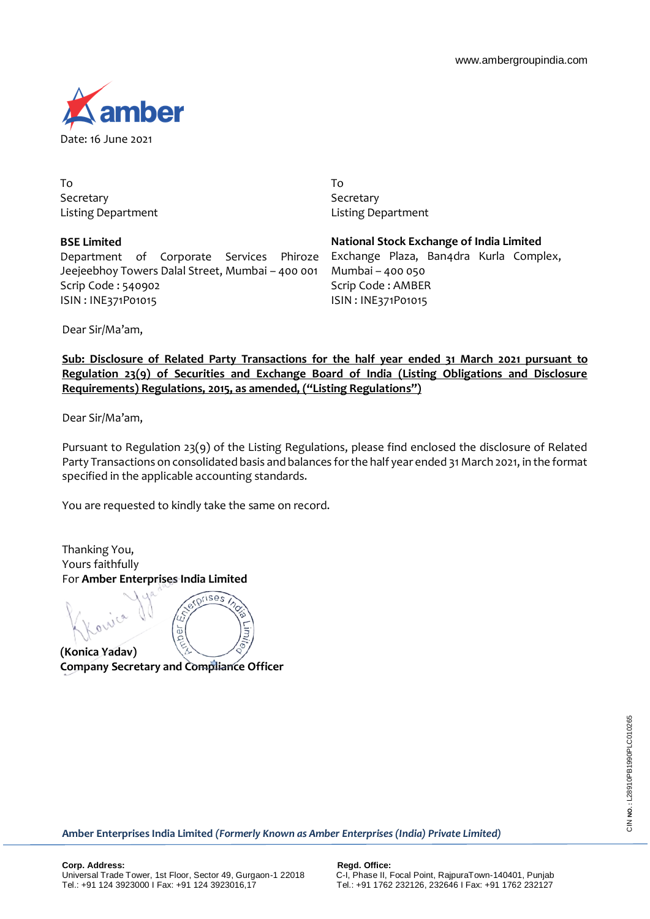

To Secretary Listing Department

**BSE Limited** 

Scrip Code : 540902 ISIN : INE371P01015 Department of Corporate Services Phiroze Jeejeebhoy Towers Dalal Street, Mumbai – 400 001

To **Secretary** Listing Department

**National Stock Exchange of India Limited** Exchange Plaza, Ban4dra Kurla Complex, Mumbai – 400 050 Scrip Code : AMBER ISIN : INE371P01015

Dear Sir/Ma'am,

**Sub: Disclosure of Related Party Transactions for the half year ended 31 March 2021 pursuant to Regulation 23(9) of Securities and Exchange Board of India (Listing Obligations and Disclosure Requirements) Regulations, 2015, as amended, ("Listing Regulations")**

Dear Sir/Ma'am,

Pursuant to Regulation 23(9) of the Listing Regulations, please find enclosed the disclosure of Related Party Transactions on consolidated basis and balances for the half year ended 31 March 2021, in the format specified in the applicable accounting standards.

You are requested to kindly take the same on record.

Ц

Thanking You, Yours faithfully For **Amber Enterprises India Limited**

ises

**(Konica Yadav) Company Secretary and Compliance Officer**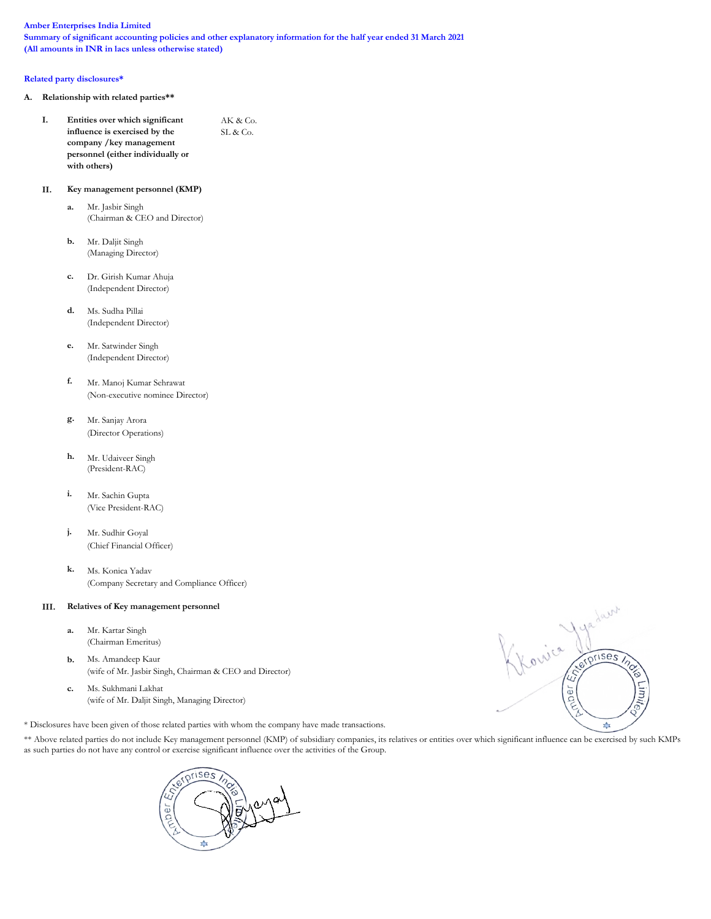### Amber Enterprises India Limited

Summary of significant accounting policies and other explanatory information for the half year ended 31 March 2021 (All amounts in INR in lacs unless otherwise stated)

### Related party disclosures\*

- A. Relationship with related parties\*\*
	- I. Entities over which significant  $AK & Co.$ influence is exercised by the  $SL & Co.$ company /key management personnel (either individually or with others)

## II. Key management personnel (KMP)

- a. Mr. Jasbir Singh (Chairman & CEO and Director)
- b. Mr. Daljit Singh (Managing Director)
- c. Dr. Girish Kumar Ahuja (Independent Director)
- d. Ms. Sudha Pillai (Independent Director)
- e. Mr. Satwinder Singh (Independent Director)
- f. Mr. Manoj Kumar Sehrawat (Non-executive nominee Director)
- g. Mr. Sanjay Arora (Director Operations)
- h. Mr. Udaiveer Singh (President-RAC)
- i. Mr. Sachin Gupta (Vice President-RAC)
- j. Mr. Sudhir Goyal (Chief Financial Officer)
- k. Ms. Konica Yadav (Company Secretary and Compliance Officer)

### III. Relatives of Key management personnel

- a. Mr. Kartar Singh (Chairman Emeritus)
- b. Ms. Amandeep Kaur (wife of Mr. Jasbir Singh, Chairman & CEO and Director)
- c. Ms. Sukhmani Lakhat (wife of Mr. Daljit Singh, Managing Director)

\* Disclosures have been given of those related parties with whom the company have made transactions.

\*\* Above related parties do not include Key management personnel (KMP) of subsidiary companies, its relatives or entities over which significant influence can be exercised by such KMPs as such parties do not have any control or exercise significant influence over the activities of the Group.



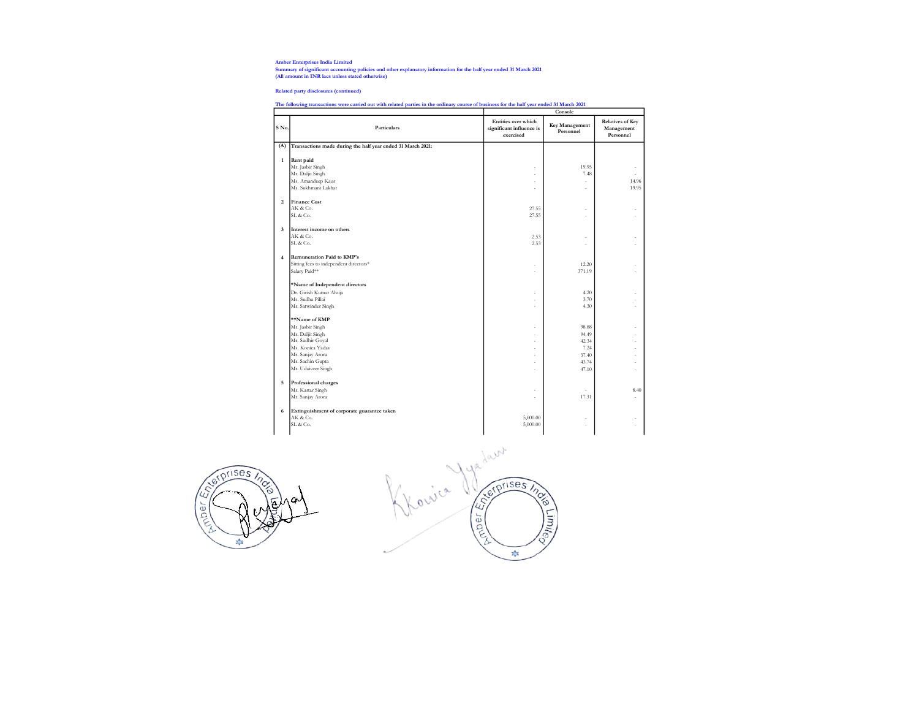Amber Enterprises India Limited Summary of significant accounting policies and other explanatory information for the half year ended 31 March 2021 (All amount in INR lacs unless stated otherwise)

Related party disclosures (continued)

# The following transactions were carried out with related parties in the ordinary course of business for the half year ended 31 March 2021 Console

| S No.                   | Particulars                                                 | Entities over which<br>significant influence is | consore<br>Key Management | <b>Relatives of Key</b><br>Management |
|-------------------------|-------------------------------------------------------------|-------------------------------------------------|---------------------------|---------------------------------------|
|                         |                                                             | exercised                                       | Personnel                 | Personnel                             |
| (A)                     | Transactions made during the half year ended 31 March 2021: |                                                 |                           |                                       |
| $\mathbf{1}$            | Rent paid                                                   |                                                 |                           |                                       |
|                         | Mr. Jasbir Singh                                            | ä,                                              | 19.95                     |                                       |
|                         | Mr. Daljit Singh                                            | ä,                                              | 7.48                      |                                       |
|                         | Ms. Amandeep Kaur                                           | ۷                                               | ٠                         | 14.96                                 |
|                         | Ms. Sukhmani Lakhat                                         | ä,                                              | ×,                        | 19.95                                 |
| $\overline{\mathbf{c}}$ | <b>Finance Cost</b>                                         |                                                 |                           |                                       |
|                         | AK & Co.                                                    | 27.55                                           | ٠                         |                                       |
|                         | SL & Co.                                                    | 27.55                                           | ٠                         |                                       |
| $\overline{\mathbf{3}}$ | Interest income on others                                   |                                                 |                           |                                       |
|                         | AK & Co.                                                    | 2.53                                            | ÷.                        |                                       |
|                         | SL & Co.                                                    | 2.53                                            |                           |                                       |
| $\overline{4}$          | <b>Remuneration Paid to KMP's</b>                           |                                                 |                           |                                       |
|                         | Sitting fees to independent directors*                      | ×,                                              | 12.20                     |                                       |
|                         | Salary Paid**                                               | ÷                                               | 371.19                    |                                       |
|                         | *Name of Independent directors                              |                                                 |                           |                                       |
|                         | Dr. Girish Kumar Ahuja                                      | ÷                                               | 4.20                      |                                       |
|                         | Ms. Sudha Pillai                                            |                                                 | 3.70                      |                                       |
|                         | Mr. Satwinder Singh                                         | ÷                                               | 4.30                      |                                       |
|                         | **Name of KMP                                               |                                                 |                           |                                       |
|                         | Mr. Jasbir Singh                                            | ٠                                               | 98.88                     | ä,                                    |
|                         | Mr. Daljit Singh                                            | J.                                              | 94.49                     | ä,                                    |
|                         | Mr. Sudhir Goyal                                            | ٠                                               | 42.34                     | ä,                                    |
|                         | Ms. Konica Yadav                                            | ۷                                               | 7.24                      | ä,                                    |
|                         | Mr. Sanjay Arora                                            |                                                 | 37.40                     |                                       |
|                         | Mr. Sachin Gupta                                            | ÷                                               | 43.74                     | ä,                                    |
|                         | Mr. Udaiveer Singh                                          | ۷                                               | 47.10                     | ×,                                    |
| 5                       | Professional charges                                        |                                                 |                           |                                       |
|                         | Mr. Kartar Singh                                            |                                                 | ٠                         | 8.40                                  |
|                         | Mr. Sanjay Arora                                            | J.                                              | 17.31                     |                                       |
| 6                       | Extinguishment of corporate guarantee taken                 |                                                 |                           |                                       |
|                         | AK & Co.                                                    | 5,000.00                                        |                           |                                       |
|                         | SL & Co.                                                    | 5,000.00                                        | ÷                         |                                       |